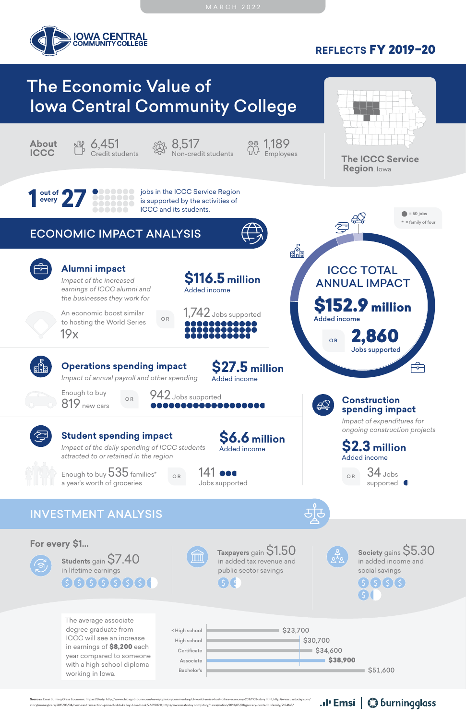**REFLECTS** FY 2019–20



# The Economic Value of Iowa Central Community College

### ECONOMIC IMPACT ANALYSIS



### INVESTMENT ANALYSIS















The average associate degree graduate from ICCC will see an increase in earnings of \$8,200 each year compared to someone with a high school diploma working in Iowa.

**out of 27 800000** jobs in the ICCC Service Region<br>
every<br> **27 800000** is supported by the activities of<br>
ICCC and its students. is supported by the activities of ICCC and its students.





**Taxpayers** gain \$1.50 in added tax revenue and public sector savings

**\$2.3 million** Added income

### **Construction spending impact**

*Impact of expenditures for ongoing construction projects*

34 Jobs supported **C** O R

Enough to buy  $535$  families\* a year's worth of groceries

 $_{\circ R}$  141 000



**Students** gain \$7.40 in lifetime earnings  $666666666$ 



**Society** gains \$5.30 in added income and social savings $(5)(5)(5)(5)$ 

.. I' Emsi | Coburningglass

An economic boost similar to hosting the World Series 19x

### **Alumni impact**





*Impact of the increased earnings of ICCC alumni and the businesses they work for*







**Sources:** Emsi Burning Glass Economic Impact Study; http://www.chicagotribune.com/news/opinion/commentary/ct-world-series-host-cities-economy-20151103-story.html; http://www.usatoday.com/ story/money/cars/2015/05/04/new-car-transaction-price-3-kbb-kelley-blue-book/26690191/; http://www.usatoday.com/story/news/nation/2013/05/01/grocery-costs-for-family/2104165/



**The ICCC Service Region**, Iowa



**Operations spending impact** *Impact of annual payroll and other spending*

**\$27.5 million**

Added income









**\$6.6 million**

Added income

### **Student spending impact**

*Impact of the daily spending of ICCC students attracted to or retained in the region*



Jobs supported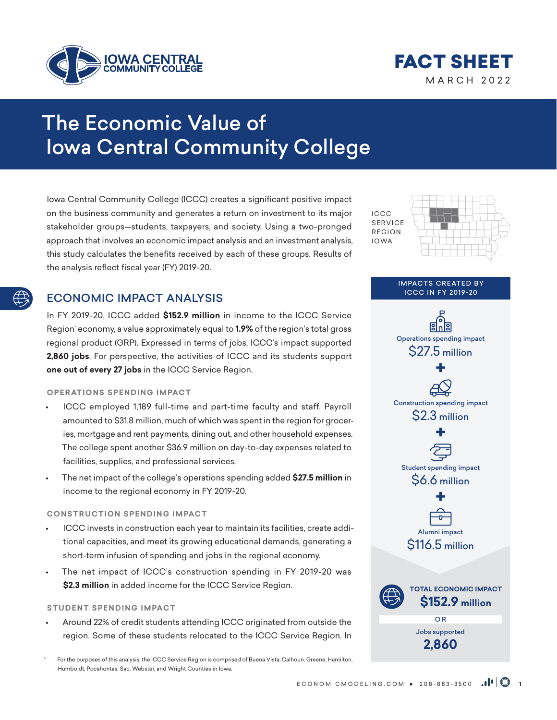



## The Economic Value of Iowa Central Community College

Iowa Central Community College (ICCC) creates a significant positive impact on the business community and generates a return on investment to its major stakeholder groups—students, taxpayers, and society. Using a two-pronged approach that involves an economic impact analysis and an investment analysis, this study calculates the benefits received by each of these groups. Results of the analysis reflect fiscal year (FY) 2019-20.

#### ECONOMIC IMPACT ANALYSIS

In FY 2019-20, ICCC added **\$152.9 million** in income to the ICCC Service Region<sup>:</sup> economy, a value approximately equal to **1.9%** of the region's total gross regional product (GRP). Expressed in terms of jobs, ICCC's impact supported **2,860 jobs**. For perspective, the activities of ICCC and its students support **one out of every 27 jobs** in the ICCC Service Region.

#### **OPERATIONS SPENDING IMPACT**

- ICCC employed 1,189 full-time and part-time faculty and staff. Payroll amounted to \$31.8 million, much of which was spent in the region for groceries, mortgage and rent payments, dining out, and other household expenses. The college spent another \$36.9 million on day-to-day expenses related to facilities, supplies, and professional services.
- The net impact of the college's operations spending added **\$27.5 million** in income to the regional economy in FY 2019-20.

#### **CONSTRUCTION SPENDING IMPACT**

- ICCC invests in construction each year to maintain its facilities, create additional capacities, and meet its growing educational demands, generating a short-term infusion of spending and jobs in the regional economy.
- The net impact of ICCC's construction spending in FY 2019-20 was **\$2.3 million** in added income for the ICCC Service Region.

#### **STUDENT SPENDING IMPACT**

• Around 22% of credit students attending ICCC originated from outside the region. Some of these students relocated to the ICCC Service Region. In

For the purposes of this analysis, the ICCC Service Region is comprised of Buena Vista, Calhoun, Greene, Hamilton, Humboldt, Pocahontas, Sac, Webster, and Wright Counties in Iowa.



**IMPACTS CREATED BY** ICCC IN FY 2019-20